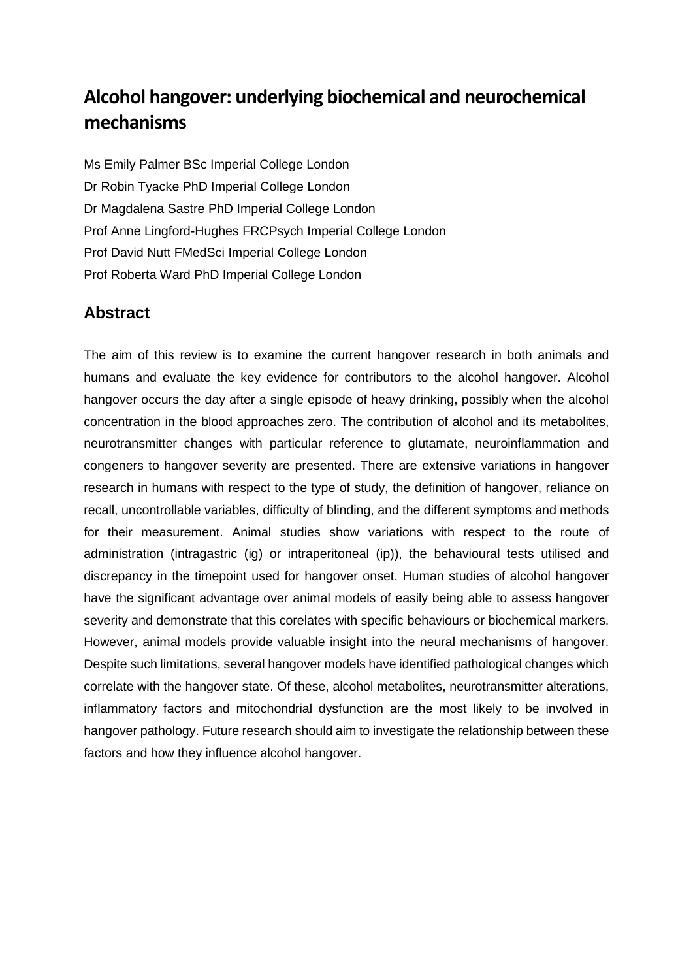# **Alcohol hangover: underlying biochemical and neurochemical mechanisms**

Ms Emily Palmer BSc Imperial College London Dr Robin Tyacke PhD Imperial College London Dr Magdalena Sastre PhD Imperial College London Prof Anne Lingford-Hughes FRCPsych Imperial College London Prof David Nutt FMedSci Imperial College London Prof Roberta Ward PhD Imperial College London

## **Abstract**

The aim of this review is to examine the current hangover research in both animals and humans and evaluate the key evidence for contributors to the alcohol hangover. Alcohol hangover occurs the day after a single episode of heavy drinking, possibly when the alcohol concentration in the blood approaches zero. The contribution of alcohol and its metabolites, neurotransmitter changes with particular reference to glutamate, neuroinflammation and congeners to hangover severity are presented. There are extensive variations in hangover research in humans with respect to the type of study, the definition of hangover, reliance on recall, uncontrollable variables, difficulty of blinding, and the different symptoms and methods for their measurement. Animal studies show variations with respect to the route of administration (intragastric (ig) or intraperitoneal (ip)), the behavioural tests utilised and discrepancy in the timepoint used for hangover onset. Human studies of alcohol hangover have the significant advantage over animal models of easily being able to assess hangover severity and demonstrate that this corelates with specific behaviours or biochemical markers. However, animal models provide valuable insight into the neural mechanisms of hangover. Despite such limitations, several hangover models have identified pathological changes which correlate with the hangover state. Of these, alcohol metabolites, neurotransmitter alterations, inflammatory factors and mitochondrial dysfunction are the most likely to be involved in hangover pathology. Future research should aim to investigate the relationship between these factors and how they influence alcohol hangover.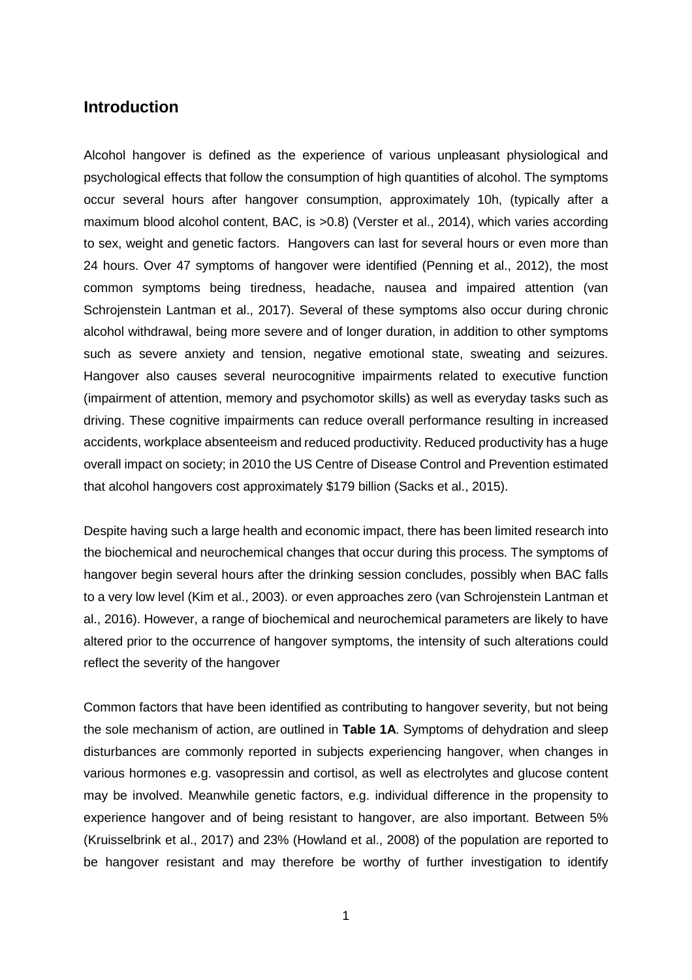## **Introduction**

Alcohol hangover is defined as the experience of various unpleasant physiological and psychological effects that follow the consumption of high quantities of alcohol. The symptoms occur several hours after hangover consumption, approximately 10h, (typically after a maximum blood alcohol content, BAC, is >0.8) (Verster et al., 2014), which varies according to sex, weight and genetic factors. Hangovers can last for several hours or even more than 24 hours. Over 47 symptoms of hangover were identified (Penning et al., 2012), the most common symptoms being tiredness, headache, nausea and impaired attention (van Schrojenstein Lantman et al., 2017). Several of these symptoms also occur during chronic alcohol withdrawal, being more severe and of longer duration, in addition to other symptoms such as severe anxiety and tension, negative emotional state, sweating and seizures. Hangover also causes several neurocognitive impairments related to executive function (impairment of attention, memory and psychomotor skills) as well as everyday tasks such as driving. These cognitive impairments can reduce overall performance resulting in increased accidents, workplace absenteeism and reduced productivity. Reduced productivity has a huge overall impact on society; in 2010 the US Centre of Disease Control and Prevention estimated that alcohol hangovers cost approximately \$179 billion (Sacks et al., 2015).

Despite having such a large health and economic impact, there has been limited research into the biochemical and neurochemical changes that occur during this process. The symptoms of hangover begin several hours after the drinking session concludes, possibly when BAC falls to a very low level (Kim et al., 2003). or even approaches zero (van Schrojenstein Lantman et al., 2016). However, a range of biochemical and neurochemical parameters are likely to have altered prior to the occurrence of hangover symptoms, the intensity of such alterations could reflect the severity of the hangover

Common factors that have been identified as contributing to hangover severity, but not being the sole mechanism of action, are outlined in **Table 1A**. Symptoms of dehydration and sleep disturbances are commonly reported in subjects experiencing hangover, when changes in various hormones e.g. vasopressin and cortisol, as well as electrolytes and glucose content may be involved. Meanwhile genetic factors, e.g. individual difference in the propensity to experience hangover and of being resistant to hangover, are also important. Between 5% (Kruisselbrink et al., 2017) and 23% (Howland et al., 2008) of the population are reported to be hangover resistant and may therefore be worthy of further investigation to identify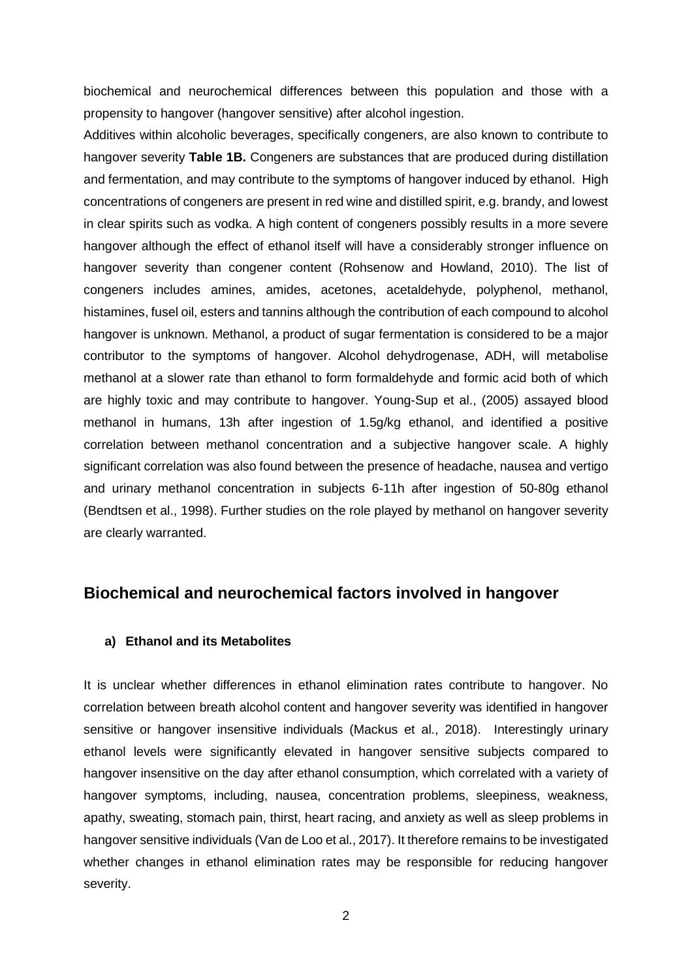biochemical and neurochemical differences between this population and those with a propensity to hangover (hangover sensitive) after alcohol ingestion.

Additives within alcoholic beverages, specifically congeners, are also known to contribute to hangover severity **Table 1B.** Congeners are substances that are produced during distillation and fermentation, and may contribute to the symptoms of hangover induced by ethanol. High concentrations of congeners are present in red wine and distilled spirit, e.g. brandy, and lowest in clear spirits such as vodka. A high content of congeners possibly results in a more severe hangover although the effect of ethanol itself will have a considerably stronger influence on hangover severity than congener content (Rohsenow and Howland, 2010). The list of congeners includes amines, amides, acetones, acetaldehyde, polyphenol, methanol, histamines, fusel oil, esters and tannins although the contribution of each compound to alcohol hangover is unknown. Methanol, a product of sugar fermentation is considered to be a major contributor to the symptoms of hangover. Alcohol dehydrogenase, ADH, will metabolise methanol at a slower rate than ethanol to form formaldehyde and formic acid both of which are highly toxic and may contribute to hangover. Young-Sup et al., (2005) assayed blood methanol in humans, 13h after ingestion of 1.5g/kg ethanol, and identified a positive correlation between methanol concentration and a subjective hangover scale. A highly significant correlation was also found between the presence of headache, nausea and vertigo and urinary methanol concentration in subjects 6-11h after ingestion of 50-80g ethanol (Bendtsen et al., 1998). Further studies on the role played by methanol on hangover severity are clearly warranted.

## **Biochemical and neurochemical factors involved in hangover**

#### **a) Ethanol and its Metabolites**

It is unclear whether differences in ethanol elimination rates contribute to hangover. No correlation between breath alcohol content and hangover severity was identified in hangover sensitive or hangover insensitive individuals (Mackus et al., 2018). Interestingly urinary ethanol levels were significantly elevated in hangover sensitive subjects compared to hangover insensitive on the day after ethanol consumption, which correlated with a variety of hangover symptoms, including, nausea, concentration problems, sleepiness, weakness, apathy, sweating, stomach pain, thirst, heart racing, and anxiety as well as sleep problems in hangover sensitive individuals (Van de Loo et al., 2017). It therefore remains to be investigated whether changes in ethanol elimination rates may be responsible for reducing hangover severity.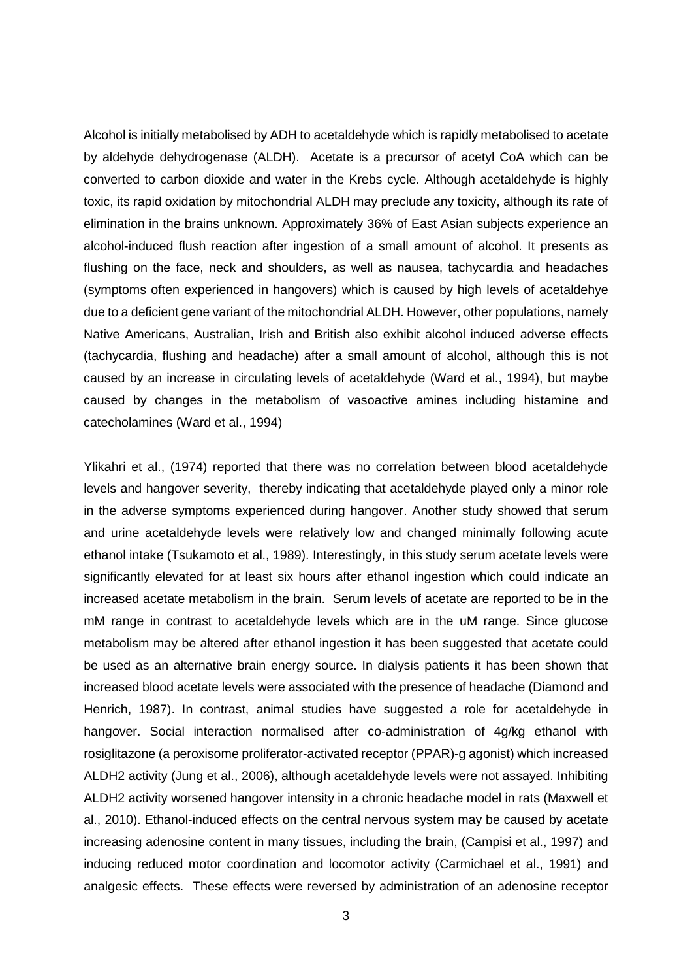Alcohol is initially metabolised by ADH to acetaldehyde which is rapidly metabolised to acetate by aldehyde dehydrogenase (ALDH). Acetate is a precursor of acetyl CoA which can be converted to carbon dioxide and water in the Krebs cycle. Although acetaldehyde is highly toxic, its rapid oxidation by mitochondrial ALDH may preclude any toxicity, although its rate of elimination in the brains unknown. Approximately 36% of East Asian subjects experience an alcohol-induced flush reaction after ingestion of a small amount of alcohol. It presents as flushing on the face, neck and shoulders, as well as nausea, tachycardia and headaches (symptoms often experienced in hangovers) which is caused by high levels of acetaldehye due to a deficient gene variant of the mitochondrial ALDH. However, other populations, namely Native Americans, Australian, Irish and British also exhibit alcohol induced adverse effects (tachycardia, flushing and headache) after a small amount of alcohol, although this is not caused by an increase in circulating levels of acetaldehyde (Ward et al., 1994), but maybe caused by changes in the metabolism of vasoactive amines including histamine and catecholamines (Ward et al., 1994)

Ylikahri et al., (1974) reported that there was no correlation between blood acetaldehyde levels and hangover severity, thereby indicating that acetaldehyde played only a minor role in the adverse symptoms experienced during hangover. Another study showed that serum and urine acetaldehyde levels were relatively low and changed minimally following acute ethanol intake (Tsukamoto et al., 1989). Interestingly, in this study serum acetate levels were significantly elevated for at least six hours after ethanol ingestion which could indicate an increased acetate metabolism in the brain. Serum levels of acetate are reported to be in the mM range in contrast to acetaldehyde levels which are in the uM range. Since glucose metabolism may be altered after ethanol ingestion it has been suggested that acetate could be used as an alternative brain energy source. In dialysis patients it has been shown that increased blood acetate levels were associated with the presence of headache (Diamond and Henrich, 1987). In contrast, animal studies have suggested a role for acetaldehyde in hangover. Social interaction normalised after co-administration of 4g/kg ethanol with rosiglitazone (a peroxisome proliferator-activated receptor (PPAR)-g agonist) which increased ALDH2 activity (Jung et al., 2006), although acetaldehyde levels were not assayed. Inhibiting ALDH2 activity worsened hangover intensity in a chronic headache model in rats (Maxwell et al., 2010). Ethanol-induced effects on the central nervous system may be caused by acetate increasing adenosine content in many tissues, including the brain, (Campisi et al., 1997) and inducing reduced motor coordination and locomotor activity (Carmichael et al., 1991) and analgesic effects. These effects were reversed by administration of an adenosine receptor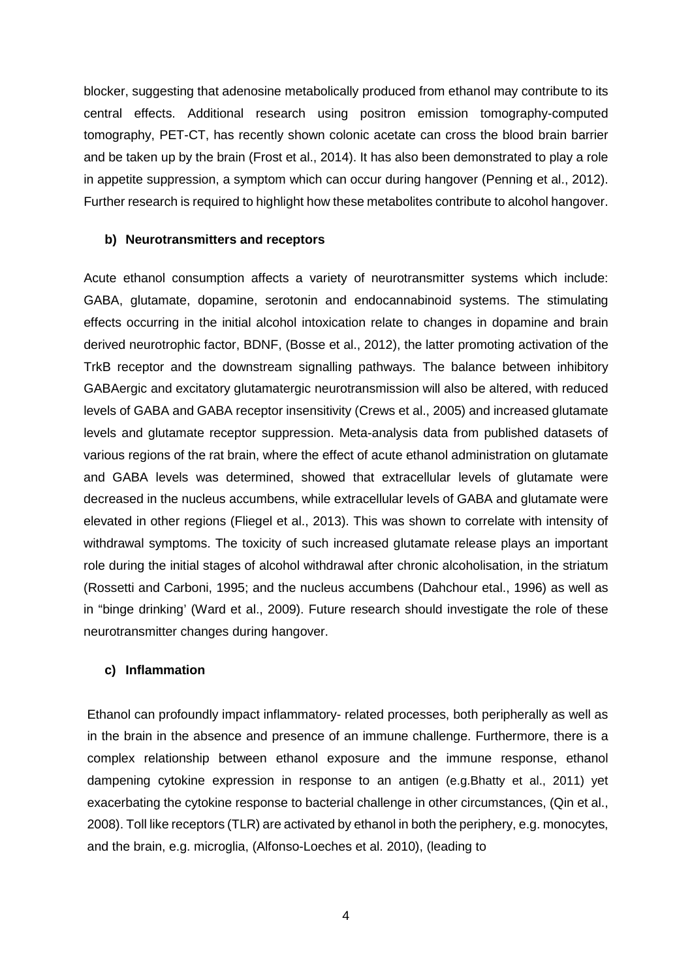blocker, suggesting that adenosine metabolically produced from ethanol may contribute to its central effects. Additional research using positron emission tomography-computed tomography, PET-CT, has recently shown colonic acetate can cross the blood brain barrier and be taken up by the brain (Frost et al., 2014). It has also been demonstrated to play a role in appetite suppression, a symptom which can occur during hangover (Penning et al., 2012). Further research is required to highlight how these metabolites contribute to alcohol hangover.

#### **b) Neurotransmitters and receptors**

Acute ethanol consumption affects a variety of neurotransmitter systems which include: GABA, glutamate, dopamine, serotonin and endocannabinoid systems. The stimulating effects occurring in the initial alcohol intoxication relate to changes in dopamine and brain derived neurotrophic factor, BDNF, (Bosse et al., 2012), the latter promoting activation of the TrkB receptor and the downstream signalling pathways. The balance between inhibitory GABAergic and excitatory glutamatergic neurotransmission will also be altered, with reduced levels of GABA and GABA receptor insensitivity (Crews et al., 2005) and increased glutamate levels and glutamate receptor suppression. Meta-analysis data from published datasets of various regions of the rat brain, where the effect of acute ethanol administration on glutamate and GABA levels was determined, showed that extracellular levels of glutamate were decreased in the nucleus accumbens, while extracellular levels of GABA and glutamate were elevated in other regions (Fliegel et al., 2013). This was shown to correlate with intensity of withdrawal symptoms. The toxicity of such increased glutamate release plays an important role during the initial stages of alcohol withdrawal after chronic alcoholisation, in the striatum (Rossetti and Carboni, 1995; and the nucleus accumbens (Dahchour etal., 1996) as well as in "binge drinking' (Ward et al., 2009). Future research should investigate the role of these neurotransmitter changes during hangover.

#### **c) Inflammation**

Ethanol can profoundly impact inflammatory- related processes, both peripherally as well as in the brain in the absence and presence of an immune challenge. Furthermore, there is a complex relationship between ethanol exposure and the immune response, ethanol dampening cytokine expression in response to an antigen (e.g.Bhatty et al., 2011) yet exacerbating the cytokine response to bacterial challenge in other circumstances, (Qin et al., 2008). Toll like receptors (TLR) are activated by ethanol in both the periphery, e.g. monocytes, and the brain, e.g. microglia, (Alfonso-Loeches et al. 2010), (leading to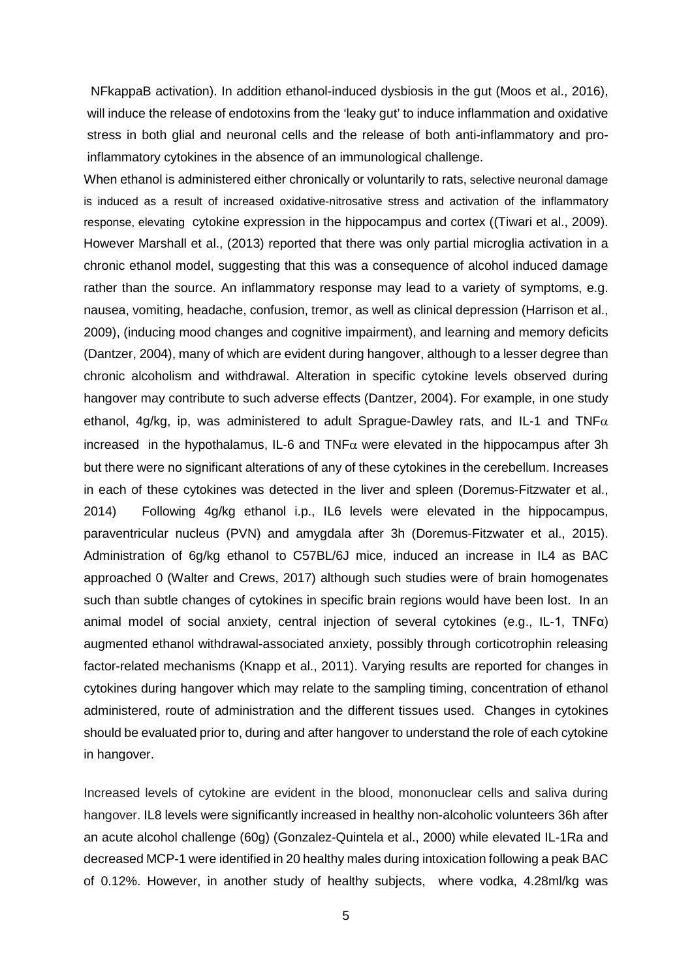NFkappaB activation). In addition ethanol-induced dysbiosis in the gut (Moos et al., 2016), will induce the release of endotoxins from the 'leaky gut' to induce inflammation and oxidative stress in both glial and neuronal cells and the release of both anti-inflammatory and proinflammatory cytokines in the absence of an immunological challenge.

When ethanol is administered either chronically or voluntarily to rats, selective neuronal damage is induced as a result of increased oxidative-nitrosative stress and activation of the inflammatory response, elevating cytokine expression in the hippocampus and cortex ((Tiwari et al., 2009). However Marshall et al., (2013) reported that there was only partial microglia activation in a chronic ethanol model, suggesting that this was a consequence of alcohol induced damage rather than the source. An inflammatory response may lead to a variety of symptoms, e.g. nausea, vomiting, headache, confusion, tremor, as well as clinical depression (Harrison et al., 2009), (inducing mood changes and cognitive impairment), and learning and memory deficits (Dantzer, 2004), many of which are evident during hangover, although to a lesser degree than chronic alcoholism and withdrawal. Alteration in specific cytokine levels observed during hangover may contribute to such adverse effects (Dantzer, 2004). For example, in one study ethanol, 4g/kg, ip, was administered to adult Sprague-Dawley rats, and IL-1 and TNF $\alpha$ increased in the hypothalamus, IL-6 and TNF $\alpha$  were elevated in the hippocampus after 3h but there were no significant alterations of any of these cytokines in the cerebellum. Increases in each of these cytokines was detected in the liver and spleen (Doremus-Fitzwater et al., 2014) Following 4g/kg ethanol i.p., IL6 levels were elevated in the hippocampus, paraventricular nucleus (PVN) and amygdala after 3h (Doremus-Fitzwater et al., 2015). Administration of 6g/kg ethanol to C57BL/6J mice, induced an increase in IL4 as BAC approached 0 (Walter and Crews, 2017) although such studies were of brain homogenates such than subtle changes of cytokines in specific brain regions would have been lost. In an animal model of social anxiety, central injection of several cytokines (e.g., IL-1, TNFα) augmented ethanol withdrawal-associated anxiety, possibly through corticotrophin releasing factor-related mechanisms (Knapp et al., 2011). Varying results are reported for changes in cytokines during hangover which may relate to the sampling timing, concentration of ethanol administered, route of administration and the different tissues used. Changes in cytokines should be evaluated prior to, during and after hangover to understand the role of each cytokine in hangover.

Increased levels of cytokine are evident in the blood, mononuclear cells and saliva during hangover. IL8 levels were significantly increased in healthy non-alcoholic volunteers 36h after an acute alcohol challenge (60g) (Gonzalez-Quintela et al., 2000) while elevated IL-1Ra and decreased MCP-1 were identified in 20 healthy males during intoxication following a peak BAC of 0.12%. However, in another study of healthy subjects, where vodka, 4.28ml/kg was

5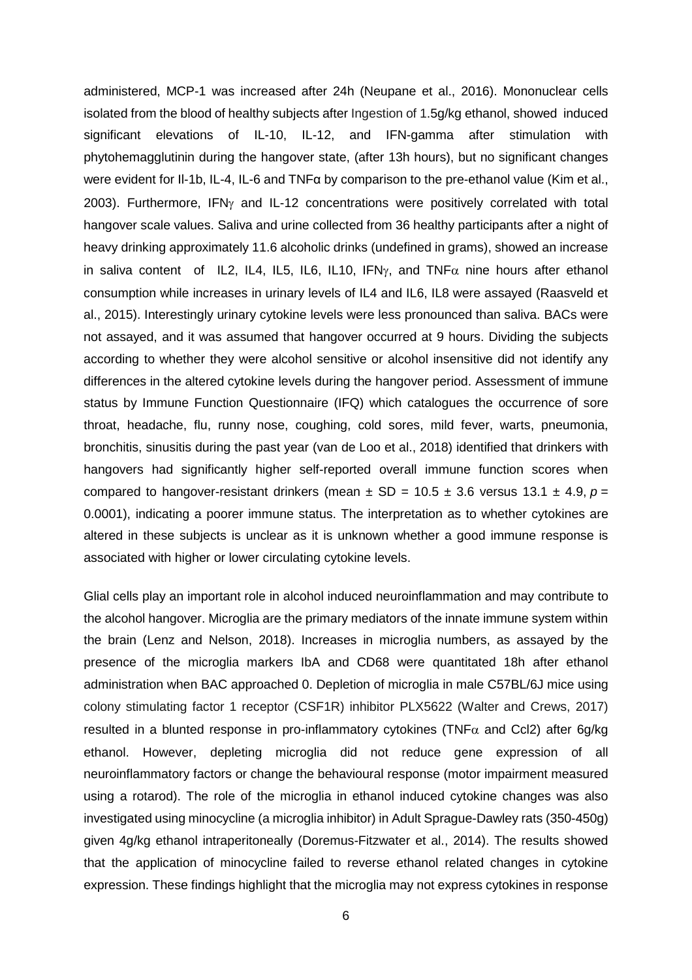administered, MCP-1 was increased after 24h (Neupane et al., 2016). Mononuclear cells isolated from the blood of healthy subjects after Ingestion of 1.5g/kg ethanol, showed induced significant elevations of IL-10, IL-12, and IFN-gamma after stimulation with phytohemagglutinin during the hangover state, (after 13h hours), but no significant changes were evident for Il-1b, IL-4, IL-6 and TNFα by comparison to the pre-ethanol value (Kim et al., 2003). Furthermore, IFNγ and IL-12 concentrations were positively correlated with total hangover scale values. Saliva and urine collected from 36 healthy participants after a night of heavy drinking approximately 11.6 alcoholic drinks (undefined in grams), showed an increase in saliva content of IL2, IL4, IL5, IL6, IL10, IFN $\gamma$ , and TNF $\alpha$  nine hours after ethanol consumption while increases in urinary levels of IL4 and IL6, IL8 were assayed (Raasveld et al., 2015). Interestingly urinary cytokine levels were less pronounced than saliva. BACs were not assayed, and it was assumed that hangover occurred at 9 hours. Dividing the subjects according to whether they were alcohol sensitive or alcohol insensitive did not identify any differences in the altered cytokine levels during the hangover period. Assessment of immune status by Immune Function Questionnaire (IFQ) which catalogues the occurrence of sore throat, headache, flu, runny nose, coughing, cold sores, mild fever, warts, pneumonia, bronchitis, sinusitis during the past year (van de Loo et al., 2018) identified that drinkers with hangovers had significantly higher self-reported overall immune function scores when compared to hangover-resistant drinkers (mean  $\pm$  SD = 10.5  $\pm$  3.6 versus 13.1  $\pm$  4.9,  $p =$ 0.0001), indicating a poorer immune status. The interpretation as to whether cytokines are altered in these subjects is unclear as it is unknown whether a good immune response is associated with higher or lower circulating cytokine levels.

Glial cells play an important role in alcohol induced neuroinflammation and may contribute to the alcohol hangover. Microglia are the primary mediators of the innate immune system within the brain (Lenz and Nelson, 2018). Increases in microglia numbers, as assayed by the presence of the microglia markers IbA and CD68 were quantitated 18h after ethanol administration when BAC approached 0. Depletion of microglia in male C57BL/6J mice using colony stimulating factor 1 receptor (CSF1R) inhibitor PLX5622 (Walter and Crews, 2017) resulted in a blunted response in pro-inflammatory cytokines (TNF $\alpha$  and Ccl2) after 6g/kg ethanol. However, depleting microglia did not reduce gene expression of all neuroinflammatory factors or change the behavioural response (motor impairment measured using a rotarod). The role of the microglia in ethanol induced cytokine changes was also investigated using minocycline (a microglia inhibitor) in Adult Sprague-Dawley rats (350-450g) given 4g/kg ethanol intraperitoneally (Doremus-Fitzwater et al., 2014). The results showed that the application of minocycline failed to reverse ethanol related changes in cytokine expression. These findings highlight that the microglia may not express cytokines in response

6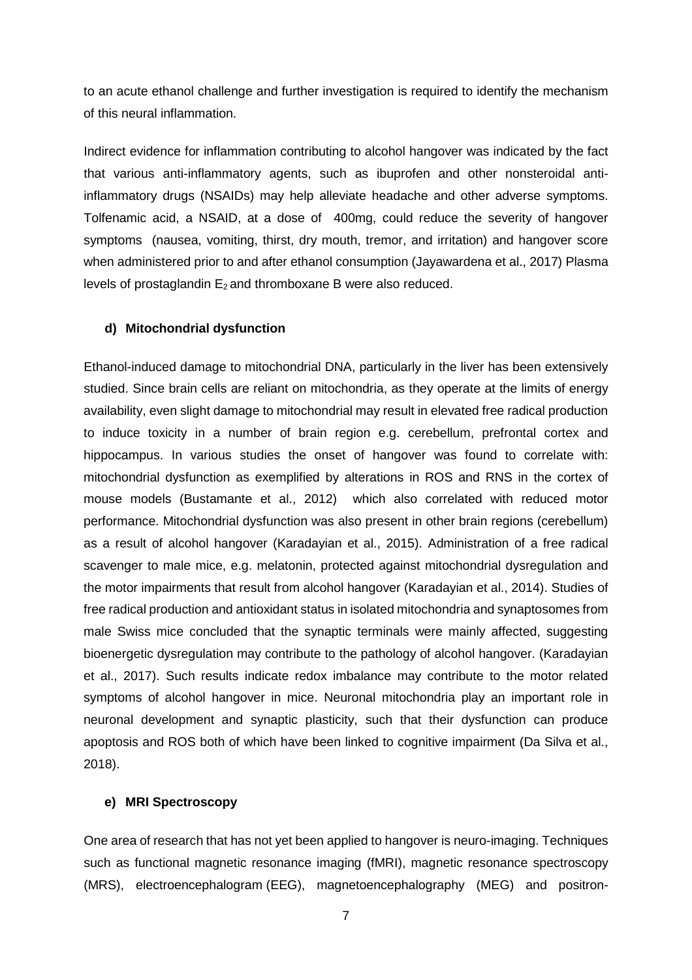to an acute ethanol challenge and further investigation is required to identify the mechanism of this neural inflammation.

Indirect evidence for inflammation contributing to alcohol hangover was indicated by the fact that various anti-inflammatory agents, such as ibuprofen and other nonsteroidal antiinflammatory drugs (NSAIDs) may help alleviate headache and other adverse symptoms. Tolfenamic acid, a NSAID, at a dose of 400mg, could reduce the severity of hangover symptoms (nausea, vomiting, thirst, dry mouth, tremor, and irritation) and hangover score when administered prior to and after ethanol consumption (Jayawardena et al., 2017) Plasma levels of prostaglandin  $E_2$  and thromboxane B were also reduced.

#### **d) Mitochondrial dysfunction**

Ethanol-induced damage to mitochondrial DNA, particularly in the liver has been extensively studied. Since brain cells are reliant on mitochondria, as they operate at the limits of energy availability, even slight damage to mitochondrial may result in elevated free radical production to induce toxicity in a number of brain region e.g. cerebellum, prefrontal cortex and hippocampus. In various studies the onset of hangover was found to correlate with: mitochondrial dysfunction as exemplified by alterations in ROS and RNS in the cortex of mouse models (Bustamante et al., 2012) which also correlated with reduced motor performance. Mitochondrial dysfunction was also present in other brain regions (cerebellum) as a result of alcohol hangover (Karadayian et al., 2015). Administration of a free radical scavenger to male mice, e.g. melatonin, protected against mitochondrial dysregulation and the motor impairments that result from alcohol hangover (Karadayian et al., 2014). Studies of free radical production and antioxidant status in isolated mitochondria and synaptosomes from male Swiss mice concluded that the synaptic terminals were mainly affected, suggesting bioenergetic dysregulation may contribute to the pathology of alcohol hangover. (Karadayian et al., 2017). Such results indicate redox imbalance may contribute to the motor related symptoms of alcohol hangover in mice. Neuronal mitochondria play an important role in neuronal development and synaptic plasticity, such that their dysfunction can produce apoptosis and ROS both of which have been linked to cognitive impairment (Da Silva et al., 2018).

#### **e) MRI Spectroscopy**

One area of research that has not yet been applied to hangover is neuro-imaging. Techniques such as functional magnetic resonance imaging (fMRI), magnetic resonance spectroscopy (MRS), electroencephalogram (EEG), magnetoencephalography (MEG) and positron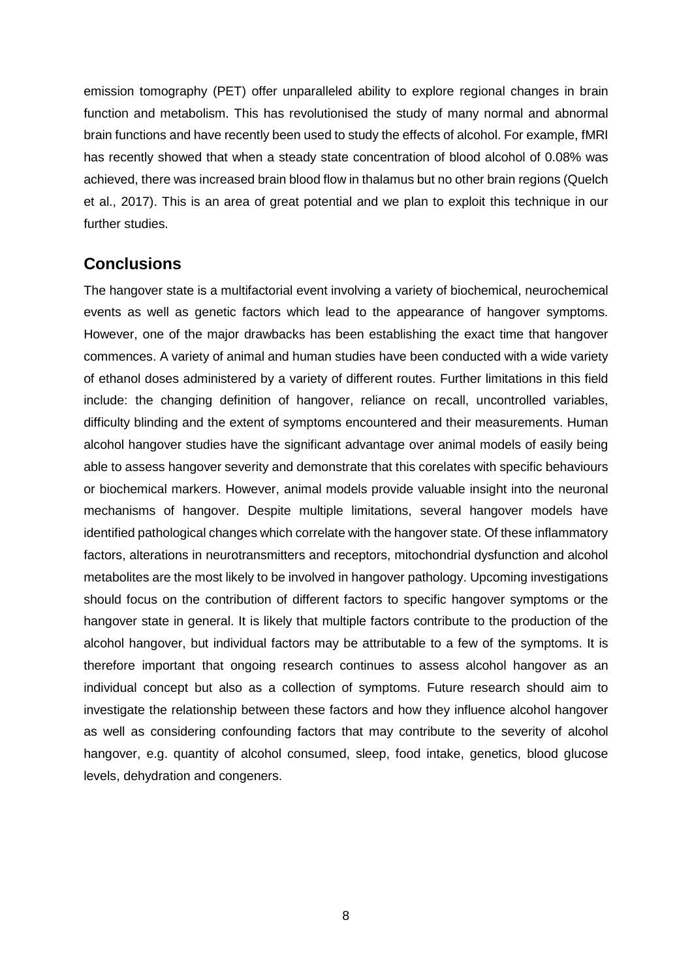emission tomography (PET) offer unparalleled ability to explore regional changes in brain function and metabolism. This has revolutionised the study of many normal and abnormal brain functions and have recently been used to study the effects of alcohol. For example, fMRI has recently showed that when a steady state concentration of blood alcohol of 0.08% was achieved, there was increased brain blood flow in thalamus but no other brain regions (Quelch et al., 2017). This is an area of great potential and we plan to exploit this technique in our further studies.

## **Conclusions**

The hangover state is a multifactorial event involving a variety of biochemical, neurochemical events as well as genetic factors which lead to the appearance of hangover symptoms. However, one of the major drawbacks has been establishing the exact time that hangover commences. A variety of animal and human studies have been conducted with a wide variety of ethanol doses administered by a variety of different routes. Further limitations in this field include: the changing definition of hangover, reliance on recall, uncontrolled variables, difficulty blinding and the extent of symptoms encountered and their measurements. Human alcohol hangover studies have the significant advantage over animal models of easily being able to assess hangover severity and demonstrate that this corelates with specific behaviours or biochemical markers. However, animal models provide valuable insight into the neuronal mechanisms of hangover. Despite multiple limitations, several hangover models have identified pathological changes which correlate with the hangover state. Of these inflammatory factors, alterations in neurotransmitters and receptors, mitochondrial dysfunction and alcohol metabolites are the most likely to be involved in hangover pathology. Upcoming investigations should focus on the contribution of different factors to specific hangover symptoms or the hangover state in general. It is likely that multiple factors contribute to the production of the alcohol hangover, but individual factors may be attributable to a few of the symptoms. It is therefore important that ongoing research continues to assess alcohol hangover as an individual concept but also as a collection of symptoms. Future research should aim to investigate the relationship between these factors and how they influence alcohol hangover as well as considering confounding factors that may contribute to the severity of alcohol hangover, e.g. quantity of alcohol consumed, sleep, food intake, genetics, blood glucose levels, dehydration and congeners.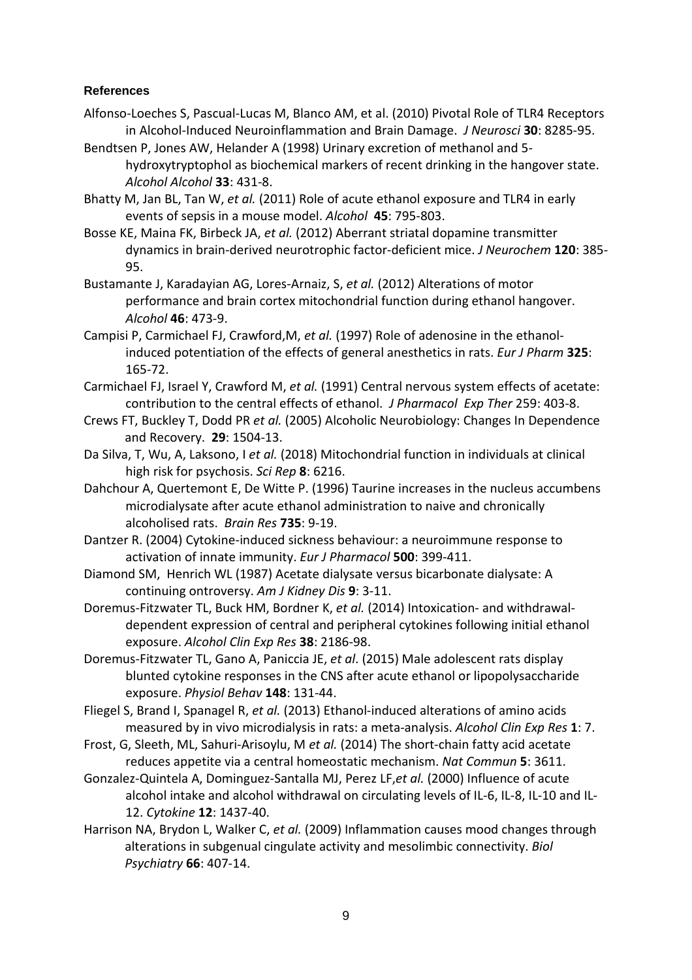## **References**

- Alfonso-Loeches S, Pascual-Lucas M, Blanco AM, et al. (2010) Pivotal Role of TLR4 Receptors in Alcohol-Induced Neuroinflammation and Brain Damage. *J Neurosci* **30**: 8285-95.
- Bendtsen P, Jones AW, Helander A (1998) Urinary excretion of methanol and 5 hydroxytryptophol as biochemical markers of recent drinking in the hangover state. *Alcohol Alcohol* **33**: 431-8.
- Bhatty M, Jan BL, Tan W, *et al.* (2011) Role of acute ethanol exposure and TLR4 in early events of sepsis in a mouse model. *Alcohol* **45**: 795-803.
- Bosse KE, Maina FK, Birbeck JA, *et al.* (2012) Aberrant striatal dopamine transmitter dynamics in brain-derived neurotrophic factor-deficient mice. *J Neurochem* **120**: 385- 95.
- Bustamante J, Karadayian AG, Lores-Arnaiz, S, *et al.* (2012) Alterations of motor performance and brain cortex mitochondrial function during ethanol hangover. *Alcohol* **46**: 473-9.
- Campisi P, Carmichael FJ, Crawford,M, *et al.* (1997) Role of adenosine in the ethanolinduced potentiation of the effects of general anesthetics in rats. *Eur J Pharm* **325**: 165-72.
- Carmichael FJ, Israel Y, Crawford M, *et al.* (1991) Central nervous system effects of acetate: contribution to the central effects of ethanol. *J Pharmacol Exp Ther* 259: 403-8.
- Crews FT, Buckley T, Dodd PR *et al.* (2005) Alcoholic Neurobiology: Changes In Dependence and Recovery. **29**: 1504-13.
- Da Silva, T, Wu, A, Laksono, I *et al.* (2018) Mitochondrial function in individuals at clinical high risk for psychosis. *Sci Rep* **8**: 6216.
- Dahchour A, Quertemont E, De Witte P. (1996) Taurine increases in the nucleus accumbens microdialysate after acute ethanol administration to naive and chronically alcoholised rats. *Brain Res* **735**: 9-19.
- Dantzer R. (2004) Cytokine-induced sickness behaviour: a neuroimmune response to activation of innate immunity. *Eur J Pharmacol* **500**: 399-411.
- Diamond SM, Henrich WL (1987) Acetate dialysate versus bicarbonate dialysate: A continuing ontroversy. *Am J Kidney Dis* **9**: 3-11.
- Doremus-Fitzwater TL, Buck HM, Bordner K, *et al.* (2014) Intoxication- and withdrawaldependent expression of central and peripheral cytokines following initial ethanol exposure. *Alcohol Clin Exp Res* **38**: 2186-98.
- Doremus-Fitzwater TL, Gano A, Paniccia JE, *et al*. (2015) Male adolescent rats display blunted cytokine responses in the CNS after acute ethanol or lipopolysaccharide exposure. *Physiol Behav* **148**: 131-44.
- Fliegel S, Brand I, Spanagel R, *et al.* (2013) Ethanol-induced alterations of amino acids measured by in vivo microdialysis in rats: a meta-analysis. *Alcohol Clin Exp Res* **1**: 7.
- Frost, G, Sleeth, ML, Sahuri-Arisoylu, M *et al.* (2014) The short-chain fatty acid acetate reduces appetite via a central homeostatic mechanism. *Nat Commun* **5**: 3611.
- Gonzalez-Quintela A, Dominguez-Santalla MJ, Perez LF,*et al.* (2000) Influence of acute alcohol intake and alcohol withdrawal on circulating levels of IL-6, IL-8, IL-10 and IL-12. *Cytokine* **12**: 1437-40.
- Harrison NA, Brydon L, Walker C, *et al.* (2009) Inflammation causes mood changes through alterations in subgenual cingulate activity and mesolimbic connectivity. *Biol Psychiatry* **66**: 407-14.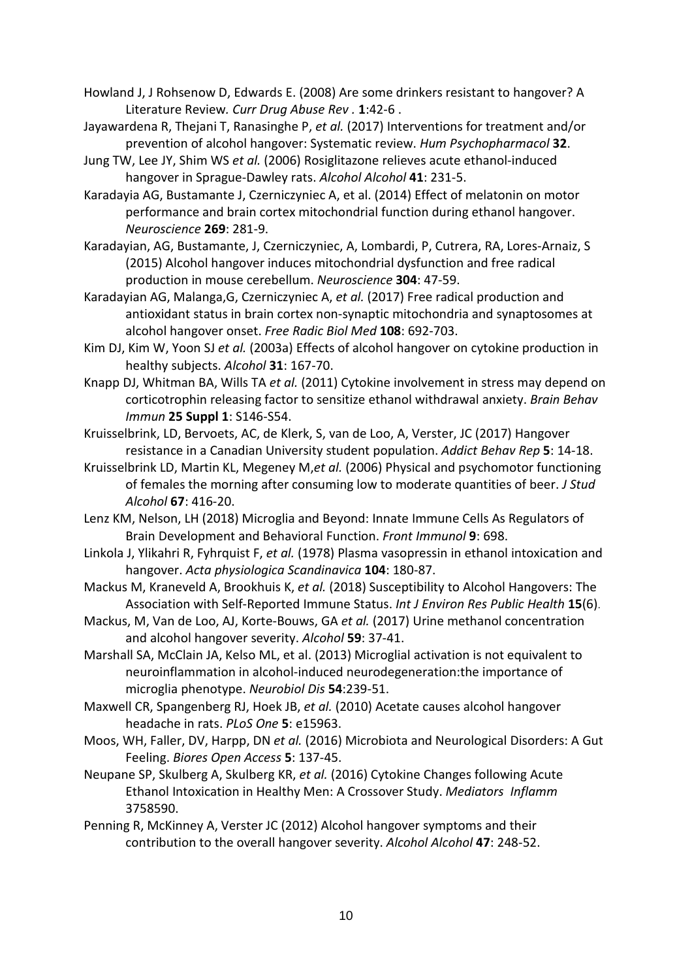- Howland J, J Rohsenow D, Edwards E. (2008) Are some drinkers resistant to hangover? A Literature Review*. [Curr Drug Abuse Rev .](https://www.ncbi.nlm.nih.gov/pubmed/19630704)* **1**:42-6 .
- Jayawardena R, Thejani T, Ranasinghe P, *et al.* (2017) Interventions for treatment and/or prevention of alcohol hangover: Systematic review. *Hum Psychopharmacol* **32**.
- Jung TW, Lee JY, Shim WS *et al.* (2006) Rosiglitazone relieves acute ethanol-induced hangover in Sprague-Dawley rats. *Alcohol Alcohol* **41**: 231-5.
- Karadayia AG, Bustamante J, Czerniczyniec A, et al. (2014) Effect of melatonin on motor performance and brain cortex mitochondrial function during ethanol hangover. *Neuroscience* **269**: 281-9.
- Karadayian, AG, Bustamante, J, Czerniczyniec, A, Lombardi, P, Cutrera, RA, Lores-Arnaiz, S (2015) Alcohol hangover induces mitochondrial dysfunction and free radical production in mouse cerebellum. *Neuroscience* **304**: 47-59.
- Karadayian AG, Malanga,G, Czerniczyniec A, *et al.* (2017) Free radical production and antioxidant status in brain cortex non-synaptic mitochondria and synaptosomes at alcohol hangover onset. *Free Radic Biol Med* **108**: 692-703.
- Kim DJ, Kim W, Yoon SJ *et al.* (2003a) Effects of alcohol hangover on cytokine production in healthy subjects. *Alcohol* **31**: 167-70.
- Knapp DJ, Whitman BA, Wills TA *et al.* (2011) Cytokine involvement in stress may depend on corticotrophin releasing factor to sensitize ethanol withdrawal anxiety. *Brain Behav Immun* **25 Suppl 1**: S146-S54.
- Kruisselbrink, LD, Bervoets, AC, de Klerk, S, van de Loo, A, Verster, JC (2017) Hangover resistance in a Canadian University student population. *Addict Behav Rep* **5**: 14-18.
- Kruisselbrink LD, Martin KL, Megeney M,*et al.* (2006) Physical and psychomotor functioning of females the morning after consuming low to moderate quantities of beer. *J Stud Alcohol* **67**: 416-20.
- Lenz KM, Nelson, LH (2018) Microglia and Beyond: Innate Immune Cells As Regulators of Brain Development and Behavioral Function. *Front Immunol* **9**: 698.
- Linkola J, Ylikahri R, Fyhrquist F, *et al.* (1978) Plasma vasopressin in ethanol intoxication and hangover. *Acta physiologica Scandinavica* **104**: 180-87.
- Mackus M, Kraneveld A, Brookhuis K, *et al.* (2018) Susceptibility to Alcohol Hangovers: The Association with Self-Reported Immune Status. *Int J Environ Res Public Health* **15**(6).
- Mackus, M, Van de Loo, AJ, Korte-Bouws, GA *et al.* (2017) Urine methanol concentration and alcohol hangover severity. *Alcohol* **59**: 37-41.
- Marshall SA, McClain JA, Kelso ML, et al. (2013) Microglial activation is not equivalent to neuroinflammation in alcohol-induced neurodegeneration:the importance of microglia phenotype. *Neurobiol Dis* **54**:239-51.
- Maxwell CR, Spangenberg RJ, Hoek JB, *et al.* (2010) Acetate causes alcohol hangover headache in rats. *PLoS One* **5**: e15963.
- Moos, WH, Faller, DV, Harpp, DN *et al.* (2016) Microbiota and Neurological Disorders: A Gut Feeling. *Biores Open Access* **5**: 137-45.
- Neupane SP, Skulberg A, Skulberg KR, *et al.* (2016) Cytokine Changes following Acute Ethanol Intoxication in Healthy Men: A Crossover Study. *Mediators Inflamm* 3758590.
- Penning R, McKinney A, Verster JC (2012) Alcohol hangover symptoms and their contribution to the overall hangover severity. *Alcohol Alcohol* **47**: 248-52.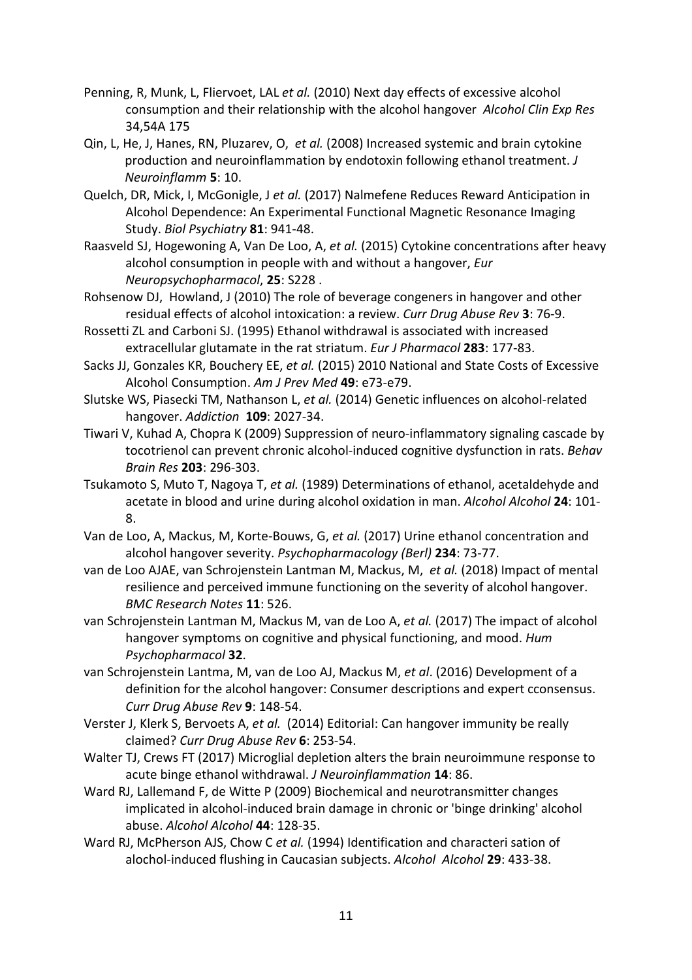- Penning, R, Munk, L, Fliervoet, LAL *et al.* (2010) Next day effects of excessive alcohol consumption and their relationship with the alcohol hangover *Alcohol Clin Exp Res* 34,54A 175
- Qin, L, He, J, Hanes, RN, Pluzarev, O, *et al.* (2008) Increased systemic and brain cytokine production and neuroinflammation by endotoxin following ethanol treatment. *J Neuroinflamm* **5**: 10.
- Quelch, DR, Mick, I, McGonigle, J *et al.* (2017) Nalmefene Reduces Reward Anticipation in Alcohol Dependence: An Experimental Functional Magnetic Resonance Imaging Study. *Biol Psychiatry* **81**: 941-48.
- Raasveld SJ, Hogewoning A, Van De Loo, A, *et al.* (2015) Cytokine concentrations after heavy alcohol consumption in people with and without a hangover, *Eur Neuropsychopharmacol*, **25**: S228 .
- Rohsenow DJ, Howland, J (2010) The role of beverage congeners in hangover and other residual effects of alcohol intoxication: a review. *Curr Drug Abuse Rev* **3**: 76-9.
- Rossetti ZL and Carboni SJ. (1995) Ethanol withdrawal is associated with increased extracellular glutamate in the rat striatum. *Eur J Pharmacol* **283**: 177-83.
- Sacks JJ, Gonzales KR, Bouchery EE, *et al.* (2015) 2010 National and State Costs of Excessive Alcohol Consumption. *Am J Prev Med* **49**: e73-e79.
- Slutske WS, Piasecki TM, Nathanson L, *et al.* (2014) Genetic influences on alcohol-related hangover. *Addiction* **109**: 2027-34.
- Tiwari V, Kuhad A, Chopra K (2009) Suppression of neuro-inflammatory signaling cascade by tocotrienol can prevent chronic alcohol-induced cognitive dysfunction in rats. *Behav Brain Res* **203**: 296-303.
- Tsukamoto S, Muto T, Nagoya T, *et al.* (1989) Determinations of ethanol, acetaldehyde and acetate in blood and urine during alcohol oxidation in man. *Alcohol Alcohol* **24**: 101- 8.
- Van de Loo, A, Mackus, M, Korte-Bouws, G, *et al.* (2017) Urine ethanol concentration and alcohol hangover severity. *Psychopharmacology (Berl)* **234**: 73-77.
- van de Loo AJAE, van Schrojenstein Lantman M, Mackus, M, *et al.* (2018) Impact of mental resilience and perceived immune functioning on the severity of alcohol hangover. *BMC Research Notes* **11**: 526.
- van Schrojenstein Lantman M, Mackus M, van de Loo A, *et al.* (2017) The impact of alcohol hangover symptoms on cognitive and physical functioning, and mood. *Hum Psychopharmacol* **32**.
- van Schrojenstein Lantma, M, van de Loo AJ, Mackus M, *et al*. (2016) Development of a definition for the alcohol hangover: Consumer descriptions and expert cconsensus. *Curr Drug Abuse Rev* **9**: 148-54.
- Verster J, Klerk S, Bervoets A, *et al.* (2014) Editorial: Can hangover immunity be really claimed? *Curr Drug Abuse Rev* **6**: 253-54.
- Walter TJ, Crews FT (2017) Microglial depletion alters the brain neuroimmune response to acute binge ethanol withdrawal. *J Neuroinflammation* **14**: 86.
- Ward RJ, Lallemand F, de Witte P (2009) Biochemical and neurotransmitter changes implicated in alcohol-induced brain damage in chronic or 'binge drinking' alcohol abuse. *Alcohol Alcohol* **44**: 128-35.
- Ward RJ, McPherson AJS, Chow C *et al.* (1994) Identification and characteri sation of alochol-induced flushing in Caucasian subjects. *Alcohol Alcohol* **29**: 433-38.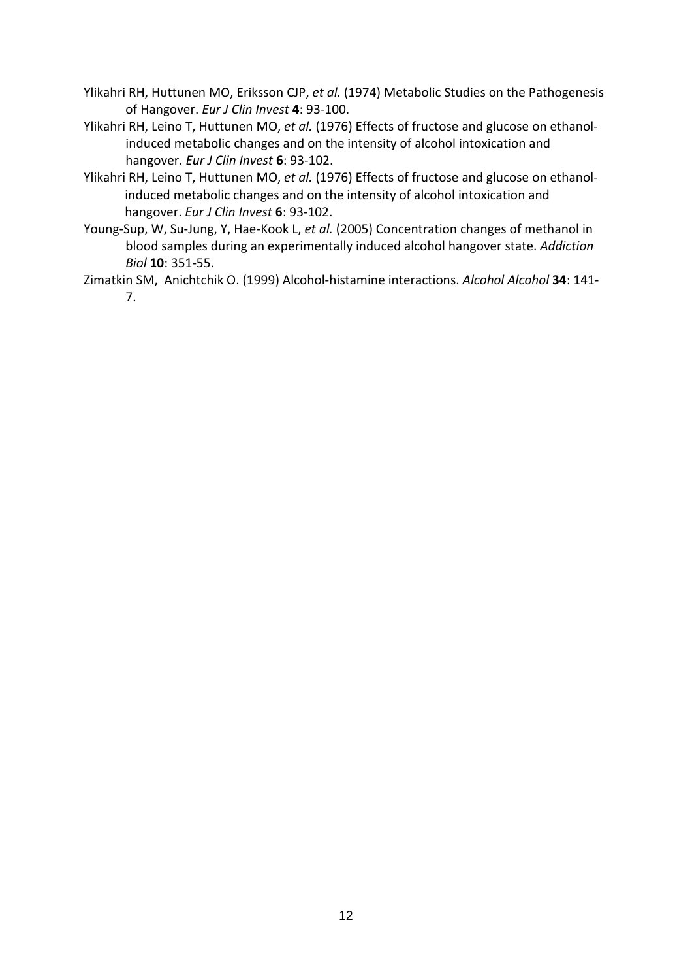- Ylikahri RH, Huttunen MO, Eriksson CJP, *et al.* (1974) Metabolic Studies on the Pathogenesis of Hangover. *Eur J Clin Invest* **4**: 93-100.
- Ylikahri RH, Leino T, Huttunen MO, *et al.* (1976) Effects of fructose and glucose on ethanolinduced metabolic changes and on the intensity of alcohol intoxication and hangover. *Eur J Clin Invest* **6**: 93-102.
- Ylikahri RH, Leino T, Huttunen MO, *et al.* (1976) Effects of fructose and glucose on ethanolinduced metabolic changes and on the intensity of alcohol intoxication and hangover. *Eur J Clin Invest* **6**: 93-102.
- Young-Sup, W, Su-Jung, Y, Hae-Kook L, *et al.* (2005) Concentration changes of methanol in blood samples during an experimentally induced alcohol hangover state. *Addiction Biol* **10**: 351-55.
- Zimatkin SM, Anichtchik O. (1999) Alcohol-histamine interactions. *Alcohol Alcohol* **34**: 141- 7.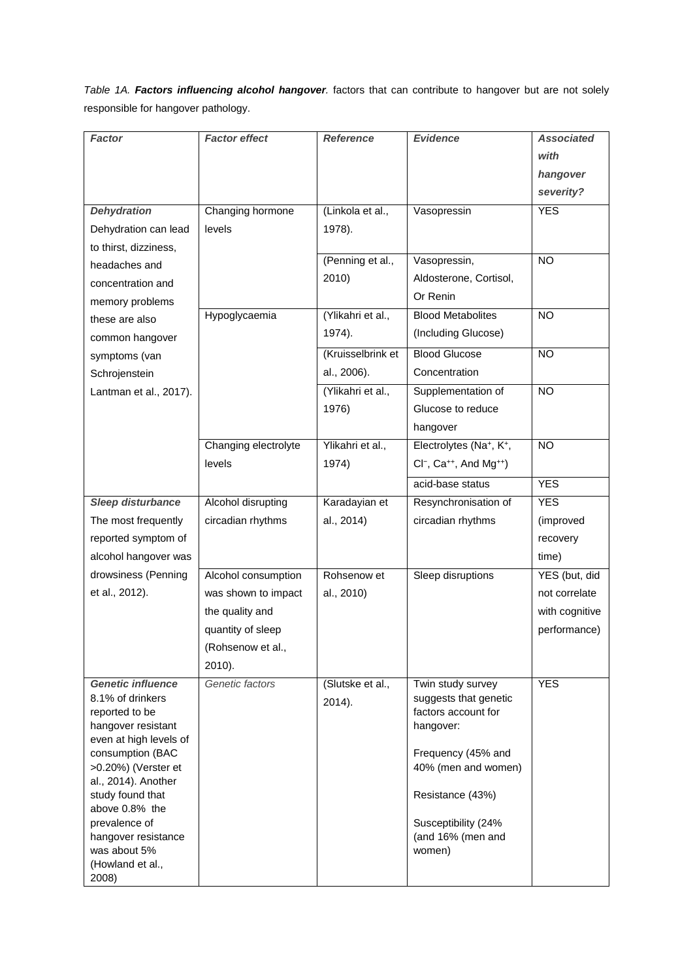*Table 1A. Factors influencing alcohol hangover.* factors that can contribute to hangover but are not solely responsible for hangover pathology.

| Factor                                       | <b>Factor effect</b> | <b>Reference</b>  | <b>Evidence</b>                             | <b>Associated</b> |
|----------------------------------------------|----------------------|-------------------|---------------------------------------------|-------------------|
|                                              |                      |                   |                                             | with              |
|                                              |                      |                   |                                             | hangover          |
|                                              |                      |                   |                                             | severity?         |
| <b>Dehydration</b>                           | Changing hormone     | (Linkola et al.,  | Vasopressin                                 | <b>YES</b>        |
| Dehydration can lead                         | levels               | 1978).            |                                             |                   |
| to thirst, dizziness,                        |                      |                   |                                             |                   |
| headaches and                                |                      | (Penning et al.,  | Vasopressin,                                | $\overline{NO}$   |
| concentration and                            |                      | 2010)             | Aldosterone, Cortisol,                      |                   |
| memory problems                              |                      |                   | Or Renin                                    |                   |
| these are also                               | Hypoglycaemia        | (Ylikahri et al., | <b>Blood Metabolites</b>                    | <b>NO</b>         |
| common hangover                              |                      | 1974).            | (Including Glucose)                         |                   |
| symptoms (van                                |                      | (Kruisselbrink et | <b>Blood Glucose</b>                        | <b>NO</b>         |
| Schrojenstein                                |                      | al., 2006).       | Concentration                               |                   |
| Lantman et al., 2017).                       |                      | (Ylikahri et al., | Supplementation of                          | <b>NO</b>         |
|                                              |                      | 1976)             | Glucose to reduce                           |                   |
|                                              |                      |                   | hangover                                    |                   |
|                                              | Changing electrolyte | Ylikahri et al.,  | Electrolytes (Na+, K+,                      | <b>NO</b>         |
|                                              | levels               | 1974)             | $Cl^-$ , $Ca^{++}$ , And Mg <sup>++</sup> ) |                   |
|                                              |                      |                   | acid-base status                            | <b>YES</b>        |
| Sleep disturbance                            | Alcohol disrupting   | Karadayian et     | Resynchronisation of                        | <b>YES</b>        |
| The most frequently                          | circadian rhythms    | al., 2014)        | circadian rhythms                           | (improved         |
| reported symptom of                          |                      |                   |                                             | recovery          |
| alcohol hangover was                         |                      |                   |                                             | time)             |
| drowsiness (Penning                          | Alcohol consumption  | Rohsenow et       | Sleep disruptions                           | YES (but, did     |
| et al., 2012).                               | was shown to impact  | al., 2010)        |                                             | not correlate     |
|                                              | the quality and      |                   |                                             | with cognitive    |
|                                              | quantity of sleep    |                   |                                             | performance)      |
|                                              | (Rohsenow et al.,    |                   |                                             |                   |
|                                              | 2010).               |                   |                                             |                   |
| <b>Genetic influence</b>                     | Genetic factors      | (Slutske et al.,  | Twin study survey                           | <b>YES</b>        |
| 8.1% of drinkers                             |                      | 2014).            | suggests that genetic                       |                   |
| reported to be                               |                      |                   | factors account for                         |                   |
| hangover resistant<br>even at high levels of |                      |                   | hangover:                                   |                   |
| consumption (BAC                             |                      |                   | Frequency (45% and                          |                   |
| >0.20%) (Verster et                          |                      |                   | 40% (men and women)                         |                   |
| al., 2014). Another                          |                      |                   |                                             |                   |
| study found that<br>above 0.8% the           |                      |                   | Resistance (43%)                            |                   |
| prevalence of                                |                      |                   | Susceptibility (24%                         |                   |
| hangover resistance                          |                      |                   | (and 16% (men and                           |                   |
| was about 5%                                 |                      |                   | women)                                      |                   |
| (Howland et al.,<br>2008)                    |                      |                   |                                             |                   |